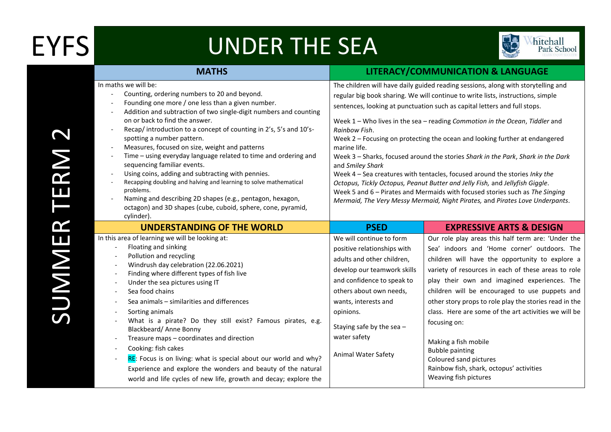## EYFS UNDER THE SEA



|                                                      | <b>MATHS</b>                                                                                                                                                                                                                                                                                                                                                                                                                                                                                                                                                                                                                                                                                                                                                              | LITERACY/COMMUNICATION & LANGUAGE                                                                                                                                                                                                                                                                                                                                                                                                                                                                                                                                                                                                                                                                                                                                                                                                                                                      |                                                                                                                                                                                                                                                                                                                                                                                                                                                                                                     |
|------------------------------------------------------|---------------------------------------------------------------------------------------------------------------------------------------------------------------------------------------------------------------------------------------------------------------------------------------------------------------------------------------------------------------------------------------------------------------------------------------------------------------------------------------------------------------------------------------------------------------------------------------------------------------------------------------------------------------------------------------------------------------------------------------------------------------------------|----------------------------------------------------------------------------------------------------------------------------------------------------------------------------------------------------------------------------------------------------------------------------------------------------------------------------------------------------------------------------------------------------------------------------------------------------------------------------------------------------------------------------------------------------------------------------------------------------------------------------------------------------------------------------------------------------------------------------------------------------------------------------------------------------------------------------------------------------------------------------------------|-----------------------------------------------------------------------------------------------------------------------------------------------------------------------------------------------------------------------------------------------------------------------------------------------------------------------------------------------------------------------------------------------------------------------------------------------------------------------------------------------------|
| $\overline{\phantom{a}}$<br>$\overline{\phantom{a}}$ | In maths we will be:<br>Counting, ordering numbers to 20 and beyond.<br>Founding one more / one less than a given number.<br>Addition and subtraction of two single-digit numbers and counting<br>on or back to find the answer.<br>Recap/introduction to a concept of counting in 2's, 5's and 10's-<br>spotting a number pattern.<br>Measures, focused on size, weight and patterns<br>Time - using everyday language related to time and ordering and<br>sequencing familiar events.<br>Using coins, adding and subtracting with pennies.<br>Recapping doubling and halving and learning to solve mathematical<br>problems.<br>Naming and describing 2D shapes (e.g., pentagon, hexagon,<br>octagon) and 3D shapes (cube, cuboid, sphere, cone, pyramid,<br>cylinder). | The children will have daily guided reading sessions, along with storytelling and<br>regular big book sharing. We will continue to write lists, instructions, simple<br>sentences, looking at punctuation such as capital letters and full stops.<br>Week 1 - Who lives in the sea - reading Commotion in the Ocean, Tiddler and<br>Rainbow Fish.<br>Week 2 - Focusing on protecting the ocean and looking further at endangered<br>marine life.<br>Week 3 - Sharks, focused around the stories Shark in the Park, Shark in the Dark<br>and Smiley Shark<br>Week 4 - Sea creatures with tentacles, focused around the stories Inky the<br>Octopus, Tickly Octopus, Peanut Butter and Jelly Fish, and Jellyfish Giggle.<br>Week 5 and 6 - Pirates and Mermaids with focused stories such as The Singing<br>Mermaid, The Very Messy Mermaid, Night Pirates, and Pirates Love Underpants. |                                                                                                                                                                                                                                                                                                                                                                                                                                                                                                     |
|                                                      | <b>UNDERSTANDING OF THE WORLD</b>                                                                                                                                                                                                                                                                                                                                                                                                                                                                                                                                                                                                                                                                                                                                         | <b>PSED</b>                                                                                                                                                                                                                                                                                                                                                                                                                                                                                                                                                                                                                                                                                                                                                                                                                                                                            | <b>EXPRESSIVE ARTS &amp; DESIGN</b>                                                                                                                                                                                                                                                                                                                                                                                                                                                                 |
|                                                      | In this area of learning we will be looking at:<br>Floating and sinking<br>Pollution and recycling<br>Windrush day celebration (22.06.2021)<br>Finding where different types of fish live<br>Under the sea pictures using IT<br>Sea food chains<br>Sea animals - similarities and differences<br>Sorting animals<br>What is a pirate? Do they still exist? Famous pirates, e.g.<br>Blackbeard/ Anne Bonny<br>Treasure maps - coordinates and direction<br>Cooking: fish cakes                                                                                                                                                                                                                                                                                             | We will continue to form<br>positive relationships with<br>adults and other children,<br>develop our teamwork skills<br>and confidence to speak to<br>others about own needs,<br>wants, interests and<br>opinions.<br>Staying safe by the sea $-$<br>water safety                                                                                                                                                                                                                                                                                                                                                                                                                                                                                                                                                                                                                      | Our role play areas this half term are: 'Under the<br>Sea' indoors and 'Home corner' outdoors. The<br>children will have the opportunity to explore a<br>variety of resources in each of these areas to role<br>play their own and imagined experiences. The<br>children will be encouraged to use puppets and<br>other story props to role play the stories read in the<br>class. Here are some of the art activities we will be<br>focusing on:<br>Making a fish mobile<br><b>Bubble painting</b> |
|                                                      | RE: Focus is on living: what is special about our world and why?                                                                                                                                                                                                                                                                                                                                                                                                                                                                                                                                                                                                                                                                                                          | Animal Water Safety                                                                                                                                                                                                                                                                                                                                                                                                                                                                                                                                                                                                                                                                                                                                                                                                                                                                    | Coloured sand pictures                                                                                                                                                                                                                                                                                                                                                                                                                                                                              |

Experience and explore the wonders and beauty of the natural world and life cycles of new life, growth and decay; explore the Animal Water Coloured sand pictures Rainbow fish, shark, octopus' activities Weaving fish pictures